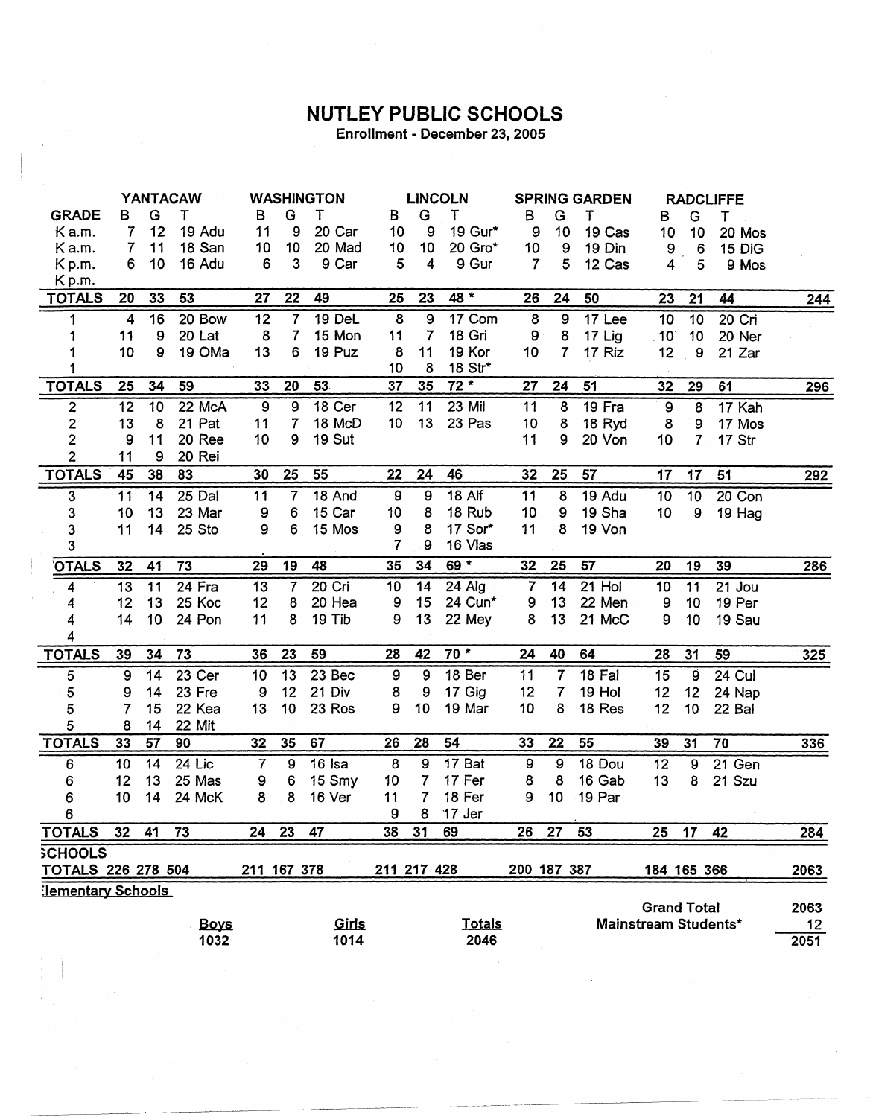## **NUTLEY PUBLIC SCHOOLS**

Enrollment - December 23, 2005

|                           | YANTACAW                |                 |             | <b>WASHINGTON</b> |                          |        |                         | <b>LINCOLN</b>   |               |                | <b>SPRING GARDEN</b> |        |                      | <b>RADCLIFFE</b> |               |       |
|---------------------------|-------------------------|-----------------|-------------|-------------------|--------------------------|--------|-------------------------|------------------|---------------|----------------|----------------------|--------|----------------------|------------------|---------------|-------|
| <b>GRADE</b>              | в                       | G               | т           | в                 | G                        | т      | в                       | G                | Т             | в              | G                    | т      | в                    | G                | T.            |       |
| K a.m.                    | 7                       | 12              | 19 Adu      | 11                | 9                        | 20 Car | 10                      | 9                | 19 Gur*       | 9              | 10                   | 19 Cas | 10                   | 10               | 20 Mos        |       |
| Ka.m.                     | 7                       | 11              | 18 San      | 10                | 10                       | 20 Mad | 10                      | 10               | 20 Gro*       | 10             | 9                    | 19 Din | 9                    | 6                | 15 DiG        |       |
| Kp.m.                     | 6                       | 10              | 16 Adu      | 6                 | 3                        | 9 Car  | 5                       | 4                | 9 Gur         | $\overline{7}$ | 5                    | 12 Cas | 4                    | 5                | 9 Mos         |       |
| Kp.m.                     |                         |                 |             |                   |                          |        |                         |                  |               |                |                      |        |                      |                  |               |       |
| <b>TOTALS</b>             | 20                      | 33              | 53          | 27                | 22                       | 49     | 25                      | 23               | 48 *          | 26             | 24                   | 50     | 23                   | 21               | 44            | 244   |
| 1                         | $\overline{\mathbf{4}}$ | 16              | 20 Bow      | 12                | $\overline{7}$           | 19 DeL | $\overline{\mathbf{8}}$ | $\boldsymbol{9}$ | 17 Com        | $\bf 8$        | $\boldsymbol{9}$     | 17 Lee | 10                   | $\overline{10}$  | 20 Cri        |       |
|                           | 11                      | 9               | 20 Lat      | 8                 | $\overline{\mathcal{L}}$ | 15 Mon | 11                      | 7                | 18 Gri        | $9^{\circ}$    | 8                    | 17 Lig | $10^{\circ}$         | 10               | 20 Ner        |       |
|                           | 10                      | 9               | 19 OMa      | 13                | 6                        | 19 Puz | 8                       | 11               | 19 Kor        | 10             | 7                    | 17 Riz | 12                   | 9                | 21 Zar        |       |
|                           |                         |                 |             |                   |                          |        | 10                      | 8                | 18 Str*       |                |                      |        |                      |                  |               |       |
| <b>TOTALS</b>             | 25                      | 34              | 59          | 33                | 20                       | 53     | 37                      | 35               | $72*$         | 27             | 24                   | 51     | 32                   | 29               | 61            | 296   |
| $\overline{\mathbf{c}}$   | 12                      | 10              | 22 McA      | 9                 | 9                        | 18 Cer | 12                      | 11               | 23 Mil        | 11             | 8                    | 19 Fra | 9                    | 8                | 17 Kah        |       |
| $\overline{2}$            | 13                      | 8               | 21 Pat      | 11                | 7                        | 18 McD | 10                      | 13               | 23 Pas        | 10             | 8                    | 18 Ryd | 8                    | 9                | 17 Mos        |       |
| $\overline{2}$            | 9                       | 11              | 20 Ree      | 10                | 9                        | 19 Sut |                         |                  |               | 11             | 9                    | 20 Von | 10                   | 7                | 17 Str        |       |
| $\overline{2}$            | 11                      | 9               | 20 Rei      |                   |                          |        |                         |                  |               |                |                      |        |                      |                  |               |       |
| <b>TOTALS</b>             | 45                      | 38              | 83          | 30                | 25                       | 55     | 22                      | 24               | 46            | 32             | 25                   | 57     | 17                   | 17               | 51            | 292   |
| 3                         | 11                      | 14              | 25 Dal      | 11                | 7 <sup>1</sup>           | 18 And | $\boldsymbol{9}$        | 9                | 18 Alf        | 11             | $\overline{8}$       | 19 Adu | 10                   | 10               | 20 Con        |       |
| 3                         | 10                      | 13              | 23 Mar      | 9                 | 6                        | 15 Car | 10                      | 8                | 18 Rub        | 10             | 9                    | 19 Sha | 10                   | 9                | 19 Hag        |       |
| $\mathbf{3}$              | 11                      | 14              | 25 Sto      | 9                 | 6                        | 15 Mos | 9                       | 8                | 17 Sor*       | 11             | 8                    | 19 Von |                      |                  |               |       |
| 3                         |                         |                 |             |                   |                          |        | 7                       | 9                | 16 Vlas       |                |                      |        |                      |                  |               |       |
| <b>OTALS</b>              | 32                      | 41              | 73          | 29                | 19                       | 48     | 35                      | 34               | $69*$         | 32             | 25                   | 57     | 20                   | 19               | 39            | 286   |
| 4                         | 13                      | $\overline{11}$ | 24 Fra      | 13                | 7                        | 20 Cri | 10                      | 14               | 24 Alg        | $\overline{7}$ | 14                   | 21 Hol | 10                   | 11               | 21 Jou        |       |
| 4                         | 12                      | 13              | 25 Koc      | 12                | 8                        | 20 Hea | 9                       | 15               | 24 Cun*       | 9              | 13                   | 22 Men | 9                    | 10               | 19 Per        |       |
| 4                         | 14                      | 10              | 24 Pon      | 11                | 8                        | 19 Tib | 9                       | 13               | 22 Mey        | 8              | 13                   | 21 McC | 9                    | 10               | 19 Sau        |       |
| 4                         |                         |                 |             |                   |                          |        |                         |                  |               |                |                      |        |                      |                  |               |       |
| <b>TOTALS</b>             | 39                      | 34              | 73          | 36                | 23                       | 59     | 28                      | 42               | $70*$         | 24             | 40                   | 64     | 28                   | 31               | 59            | $325$ |
| 5                         | 9                       | 14              | 23 Cer      | 10                | 13                       | 23 Bec | 9                       | 9                | 18 Ber        | 11             | $\overline{7}$       | 18 Fal | 15                   | 9                | <b>24 Cul</b> |       |
| 5                         | 9                       | 14              | 23 Fre      | 9                 | 12                       | 21 Div | 8                       | 9                | 17 Gig        | 12             | 7                    | 19 Hol | 12                   | 12               | 24 Nap        |       |
| 5                         | 7                       | 15              | 22 Kea      | 13                | 10                       | 23 Ros | 9                       | 10               | 19 Mar        | 10             | 8                    | 18 Res | 12                   | 10               | 22 Bal        |       |
| 5                         | 8                       | 14              | 22 Mit      |                   |                          |        |                         |                  |               |                |                      |        |                      |                  |               |       |
| <b>TOTALS</b>             | 33                      | 57              | 90          | 32                | 35                       | 67     | 26                      | 28               | 54            | 33             | 22                   | 55     | 39                   | 31               | 70            | 336   |
| 6                         | 10                      | 14              | $24$ Lic    | $\overline{7}$    | 9                        | 16 Isa | 8                       | 9                | 17 Bat        | 9              | 9                    | 18 Dou | 12                   | 9                | 21 Gen        |       |
| 6                         | 12                      | 13              | 25 Mas      | 9                 | 6                        | 15 Smy | 10                      | 7                | 17 Fer        | 8              | 8                    | 16 Gab | 13                   | 8                | 21 Szu        |       |
| 6                         | 10                      | 14              | 24 McK      | 8                 | 8                        | 16 Ver | 11                      | 7                | 18 Fer        | 9              | 10                   | 19 Par |                      |                  |               |       |
| 6                         |                         |                 |             |                   |                          |        | 9                       | 8                | 17 Jer        |                |                      |        |                      |                  |               |       |
| <b>TOTALS</b>             | 32                      | 41              | 73          | 24                | 23                       | 47     | 38                      | 31               | 69            | 26             | 27                   | 53     | 25                   | 17               | 42            | 284   |
| <b>SCHOOLS</b>            |                         |                 |             |                   |                          |        |                         |                  |               |                |                      |        |                      |                  |               |       |
| <b>TOTALS 226 278 504</b> |                         |                 |             | 211 167 378       |                          |        | 211 217 428             |                  |               |                | 200 187 387          |        | 184 165 366          |                  |               | 2063  |
| :lementary Schools        |                         |                 |             |                   |                          |        |                         |                  |               |                |                      |        |                      |                  |               |       |
|                           |                         |                 |             |                   |                          |        |                         |                  |               |                |                      |        | <b>Grand Total</b>   |                  |               | 2063  |
|                           |                         |                 | <b>Boys</b> |                   |                          | Girls  |                         |                  | <b>Totals</b> |                |                      |        | Mainstream Students* |                  |               | 12    |
|                           |                         |                 | 1032        |                   |                          | 1014   |                         |                  | 2046          |                |                      |        |                      |                  |               | 2051  |